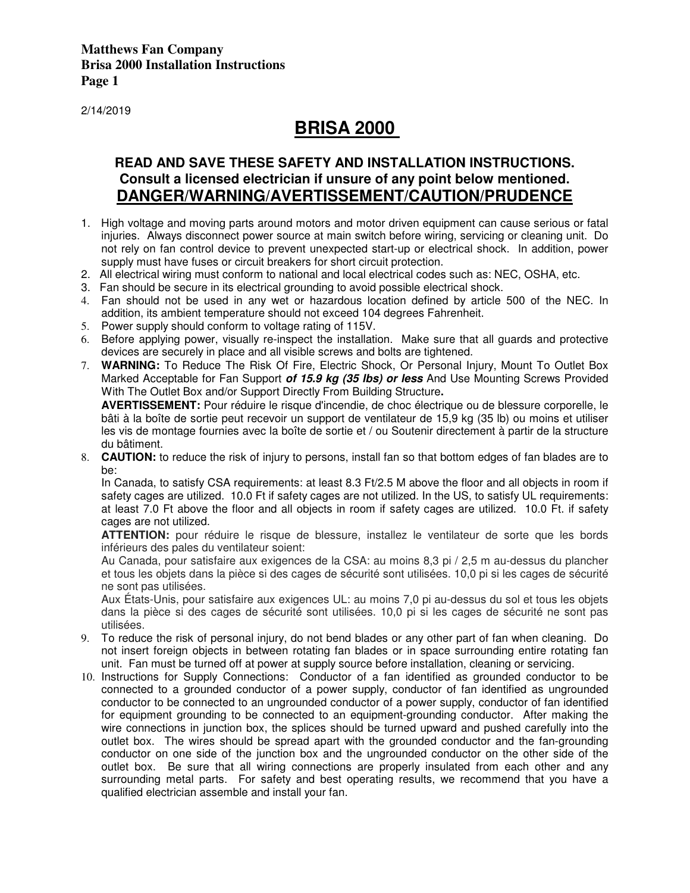2/14/2019

# **BRISA 2000**

## **READ AND SAVE THESE SAFETY AND INSTALLATION INSTRUCTIONS. Consult a licensed electrician if unsure of any point below mentioned. DANGER/WARNING/AVERTISSEMENT/CAUTION/PRUDENCE**

- 1. High voltage and moving parts around motors and motor driven equipment can cause serious or fatal injuries. Always disconnect power source at main switch before wiring, servicing or cleaning unit. Do not rely on fan control device to prevent unexpected start-up or electrical shock. In addition, power supply must have fuses or circuit breakers for short circuit protection.
- 2. All electrical wiring must conform to national and local electrical codes such as: NEC, OSHA, etc.
- 3. Fan should be secure in its electrical grounding to avoid possible electrical shock.
- 4. Fan should not be used in any wet or hazardous location defined by article 500 of the NEC. In addition, its ambient temperature should not exceed 104 degrees Fahrenheit.
- 5. Power supply should conform to voltage rating of 115V.
- 6. Before applying power, visually re-inspect the installation. Make sure that all guards and protective devices are securely in place and all visible screws and bolts are tightened.
- 7. **WARNING:** To Reduce The Risk Of Fire, Electric Shock, Or Personal Injury, Mount To Outlet Box Marked Acceptable for Fan Support **of 15.9 kg (35 lbs) or less** And Use Mounting Screws Provided With The Outlet Box and/or Support Directly From Building Structure**.**

AVERTISSEMENT: Pour réduire le risque d'incendie, de choc électrique ou de blessure corporelle, le bâti à la boîte de sortie peut recevoir un support de ventilateur de 15,9 kg (35 lb) ou moins et utiliser les vis de montage fournies avec la boîte de sortie et / ou Soutenir directement à partir de la structure du bâtiment.

8. **CAUTION:** to reduce the risk of injury to persons, install fan so that bottom edges of fan blades are to be:

In Canada, to satisfy CSA requirements: at least 8.3 Ft/2.5 M above the floor and all objects in room if safety cages are utilized. 10.0 Ft if safety cages are not utilized. In the US, to satisfy UL requirements: at least 7.0 Ft above the floor and all objects in room if safety cages are utilized. 10.0 Ft. if safety cages are not utilized.

**ATTENTION:** pour réduire le risque de blessure, installez le ventilateur de sorte que les bords inférieurs des pales du ventilateur soient:

Au Canada, pour satisfaire aux exigences de la CSA: au moins 8,3 pi / 2,5 m au-dessus du plancher et tous les objets dans la pièce si des cages de sécurité sont utilisées. 10,0 pi si les cages de sécurité ne sont pas utilisées.

Aux États-Unis, pour satisfaire aux exigences UL: au moins 7,0 pi au-dessus du sol et tous les objets dans la pièce si des cages de sécurité sont utilisées. 10,0 pi si les cages de sécurité ne sont pas utilisées.

- 9. To reduce the risk of personal injury, do not bend blades or any other part of fan when cleaning. Do not insert foreign objects in between rotating fan blades or in space surrounding entire rotating fan unit. Fan must be turned off at power at supply source before installation, cleaning or servicing.
- 10. Instructions for Supply Connections: Conductor of a fan identified as grounded conductor to be connected to a grounded conductor of a power supply, conductor of fan identified as ungrounded conductor to be connected to an ungrounded conductor of a power supply, conductor of fan identified for equipment grounding to be connected to an equipment-grounding conductor. After making the wire connections in junction box, the splices should be turned upward and pushed carefully into the outlet box. The wires should be spread apart with the grounded conductor and the fan-grounding conductor on one side of the junction box and the ungrounded conductor on the other side of the outlet box. Be sure that all wiring connections are properly insulated from each other and any surrounding metal parts. For safety and best operating results, we recommend that you have a qualified electrician assemble and install your fan.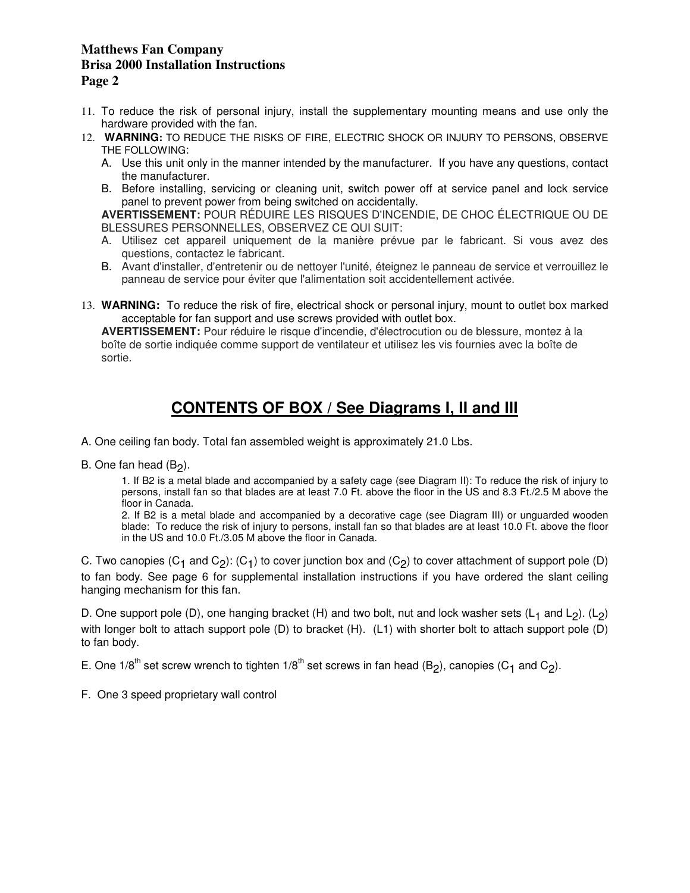- 11. To reduce the risk of personal injury, install the supplementary mounting means and use only the hardware provided with the fan.
- 12. **WARNING:** TO REDUCE THE RISKS OF FIRE, ELECTRIC SHOCK OR INJURY TO PERSONS, OBSERVE THE FOLLOWING:
	- A. Use this unit only in the manner intended by the manufacturer. If you have any questions, contact the manufacturer.
	- B. Before installing, servicing or cleaning unit, switch power off at service panel and lock service panel to prevent power from being switched on accidentally.

**AVERTISSEMENT:** POUR RÉDUIRE LES RISQUES D'INCENDIE, DE CHOC ÉLECTRIQUE OU DE BLESSURES PERSONNELLES, OBSERVEZ CE QUI SUIT:

- A. Utilisez cet appareil uniquement de la manière prévue par le fabricant. Si vous avez des questions, contactez le fabricant.
- B. Avant d'installer, d'entretenir ou de nettoyer l'unité, éteignez le panneau de service et verrouillez le panneau de service pour éviter que l'alimentation soit accidentellement activée.
- 13. **WARNING:** To reduce the risk of fire, electrical shock or personal injury, mount to outlet box marked acceptable for fan support and use screws provided with outlet box.

**AVERTISSEMENT:** Pour réduire le risque d'incendie, d'électrocution ou de blessure, montez à la boîte de sortie indiquée comme support de ventilateur et utilisez les vis fournies avec la boîte de sortie.

# **CONTENTS OF BOX / See Diagrams I, II and III**

A. One ceiling fan body. Total fan assembled weight is approximately 21.0 Lbs.

B. One fan head (B<sub>2</sub>).

1. If B2 is a metal blade and accompanied by a safety cage (see Diagram II): To reduce the risk of injury to persons, install fan so that blades are at least 7.0 Ft. above the floor in the US and 8.3 Ft./2.5 M above the floor in Canada.

2. If B2 is a metal blade and accompanied by a decorative cage (see Diagram III) or unguarded wooden blade: To reduce the risk of injury to persons, install fan so that blades are at least 10.0 Ft. above the floor in the US and 10.0 Ft./3.05 M above the floor in Canada.

C. Two canopies  $(C_1$  and  $C_2$ ):  $(C_1)$  to cover junction box and  $(C_2)$  to cover attachment of support pole (D) to fan body. See page 6 for supplemental installation instructions if you have ordered the slant ceiling hanging mechanism for this fan.

D. One support pole (D), one hanging bracket (H) and two bolt, nut and lock washer sets (L<sub>1</sub> and L<sub>2</sub>). (L<sub>2</sub>) with longer bolt to attach support pole (D) to bracket (H). (L1) with shorter bolt to attach support pole (D) to fan body.

E. One 1/8<sup>th</sup> set screw wrench to tighten 1/8<sup>th</sup> set screws in fan head (B<sub>2</sub>), canopies (C<sub>1</sub> and C<sub>2</sub>).

F. One 3 speed proprietary wall control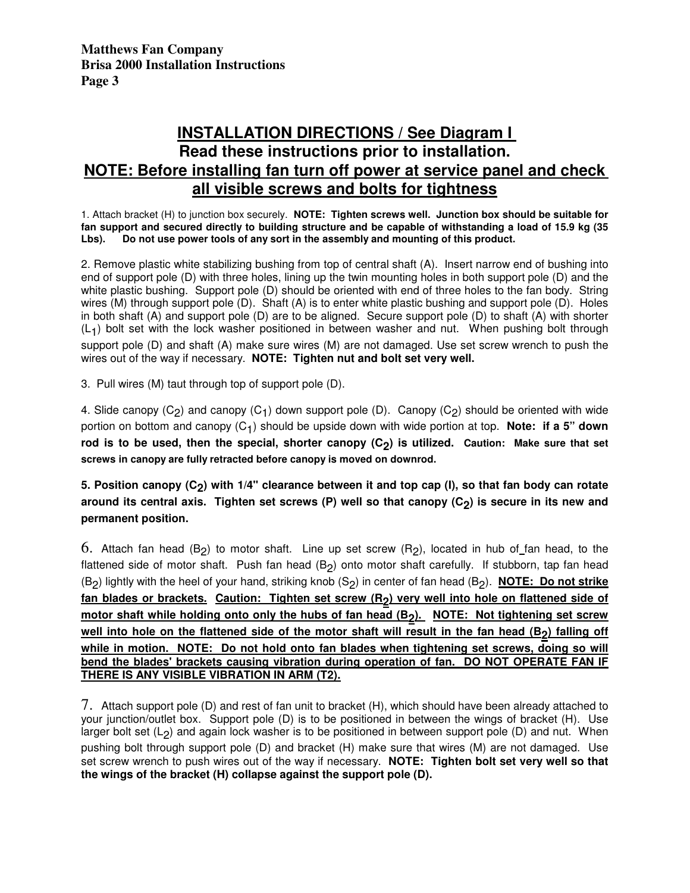## **INSTALLATION DIRECTIONS / See Diagram I Read these instructions prior to installation. NOTE: Before installing fan turn off power at service panel and check all visible screws and bolts for tightness**

1. Attach bracket (H) to junction box securely. **NOTE: Tighten screws well. Junction box should be suitable for fan support and secured directly to building structure and be capable of withstanding a load of 15.9 kg (35 Lbs). Do not use power tools of any sort in the assembly and mounting of this product.** 

2. Remove plastic white stabilizing bushing from top of central shaft (A). Insert narrow end of bushing into end of support pole (D) with three holes, lining up the twin mounting holes in both support pole (D) and the white plastic bushing. Support pole (D) should be oriented with end of three holes to the fan body. String wires (M) through support pole (D). Shaft (A) is to enter white plastic bushing and support pole (D). Holes in both shaft (A) and support pole (D) are to be aligned. Secure support pole (D) to shaft (A) with shorter  $(L<sub>1</sub>)$  bolt set with the lock washer positioned in between washer and nut. When pushing bolt through support pole (D) and shaft (A) make sure wires (M) are not damaged. Use set screw wrench to push the wires out of the way if necessary. **NOTE: Tighten nut and bolt set very well.** 

3. Pull wires (M) taut through top of support pole (D).

4. Slide canopy (C<sub>2</sub>) and canopy (C<sub>1</sub>) down support pole (D). Canopy (C<sub>2</sub>) should be oriented with wide portion on bottom and canopy (C<sub>1</sub>) should be upside down with wide portion at top. Note: if a 5" down rod is to be used, then the special, shorter canopy (C<sub>2</sub>) is utilized. Caution: Make sure that set **screws in canopy are fully retracted before canopy is moved on downrod.** 

**5. Position canopy (C2 ) with 1/4" clearance between it and top cap (I), so that fan body can rotate**  around its central axis. Tighten set screws (P) well so that canopy (C<sub>2</sub>) is secure in its new and **permanent position.** 

 $6.$  Attach fan head  $(B_2)$  to motor shaft. Line up set screw  $(R_2)$ , located in hub of fan head, to the flattened side of motor shaft. Push fan head (B<sub>2</sub>) onto motor shaft carefully. If stubborn, tap fan head (B2 ) lightly with the heel of your hand, striking knob (S2 ) in center of fan head (B2 ). **NOTE: Do not strike** fan blades or brackets. Caution: Tighten set screw (R<sub>2</sub>) very well into hole on flattened side of motor shaft while holding onto only the hubs of fan head (B<sub>2</sub>). NOTE: Not tightening set screw <u>well into hole on the flattened side of the motor shaft will result in the fan head (B<sub>2</sub>) falling off</u> **while in motion. NOTE: Do not hold onto fan blades when tightening set screws, doing so will bend the blades' brackets causing vibration during operation of fan. DO NOT OPERATE FAN IF THERE IS ANY VISIBLE VIBRATION IN ARM (T2).**

7. Attach support pole (D) and rest of fan unit to bracket (H), which should have been already attached to your junction/outlet box. Support pole (D) is to be positioned in between the wings of bracket (H). Use larger bolt set (L<sub>2</sub>) and again lock washer is to be positioned in between support pole (D) and nut. When pushing bolt through support pole (D) and bracket (H) make sure that wires (M) are not damaged. Use set screw wrench to push wires out of the way if necessary. **NOTE: Tighten bolt set very well so that the wings of the bracket (H) collapse against the support pole (D).**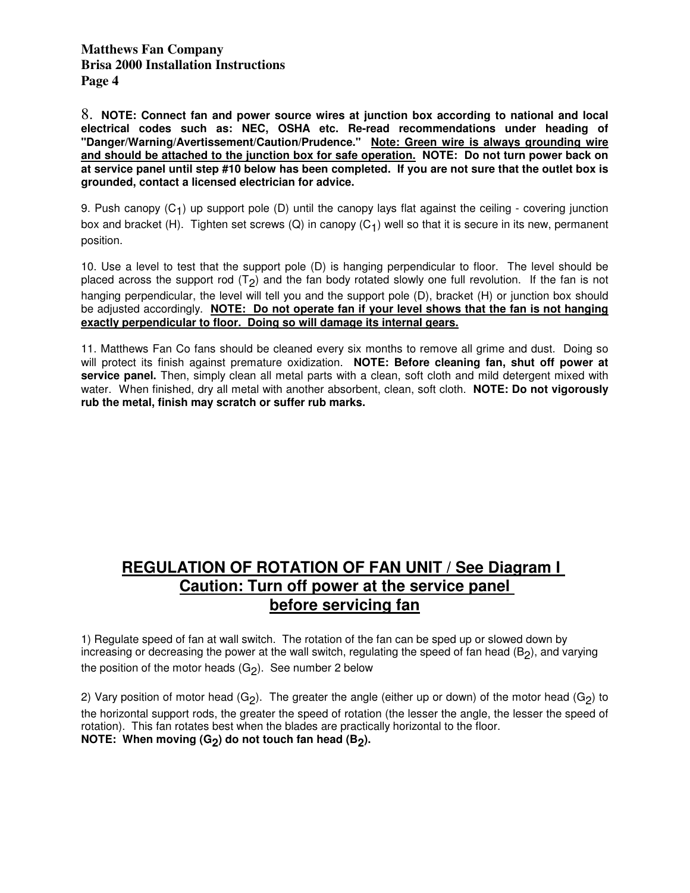8. **NOTE: Connect fan and power source wires at junction box according to national and local electrical codes such as: NEC, OSHA etc. Re-read recommendations under heading of "Danger/Warning/Avertissement/Caution/Prudence." Note: Green wire is always grounding wire and should be attached to the junction box for safe operation. NOTE: Do not turn power back on at service panel until step #10 below has been completed. If you are not sure that the outlet box is grounded, contact a licensed electrician for advice.** 

9. Push canopy (C<sub>1</sub>) up support pole (D) until the canopy lays flat against the ceiling - covering junction box and bracket (H). Tighten set screws (Q) in canopy (C<sub>1</sub>) well so that it is secure in its new, permanent position.

10. Use a level to test that the support pole (D) is hanging perpendicular to floor. The level should be placed across the support rod (T<sub>2</sub>) and the fan body rotated slowly one full revolution. If the fan is not hanging perpendicular, the level will tell you and the support pole (D), bracket (H) or junction box should be adjusted accordingly. **NOTE: Do not operate fan if your level shows that the fan is not hanging exactly perpendicular to floor. Doing so will damage its internal gears.**

11. Matthews Fan Co fans should be cleaned every six months to remove all grime and dust. Doing so will protect its finish against premature oxidization. **NOTE: Before cleaning fan, shut off power at service panel.** Then, simply clean all metal parts with a clean, soft cloth and mild detergent mixed with water. When finished, dry all metal with another absorbent, clean, soft cloth. **NOTE: Do not vigorously rub the metal, finish may scratch or suffer rub marks.**

## **REGULATION OF ROTATION OF FAN UNIT / See Diagram I Caution: Turn off power at the service panel before servicing fan**

1) Regulate speed of fan at wall switch. The rotation of the fan can be sped up or slowed down by increasing or decreasing the power at the wall switch, regulating the speed of fan head (B<sub>2</sub>), and varying the position of the motor heads (G<sub>2</sub>). See number 2 below

2) Vary position of motor head (G<sub>2</sub>). The greater the angle (either up or down) of the motor head (G<sub>2</sub>) to the horizontal support rods, the greater the speed of rotation (the lesser the angle, the lesser the speed of rotation). This fan rotates best when the blades are practically horizontal to the floor. <code>NOTE: When moving (G<sub>2</sub>) do not touch fan head (B<sub>2</sub>).</code>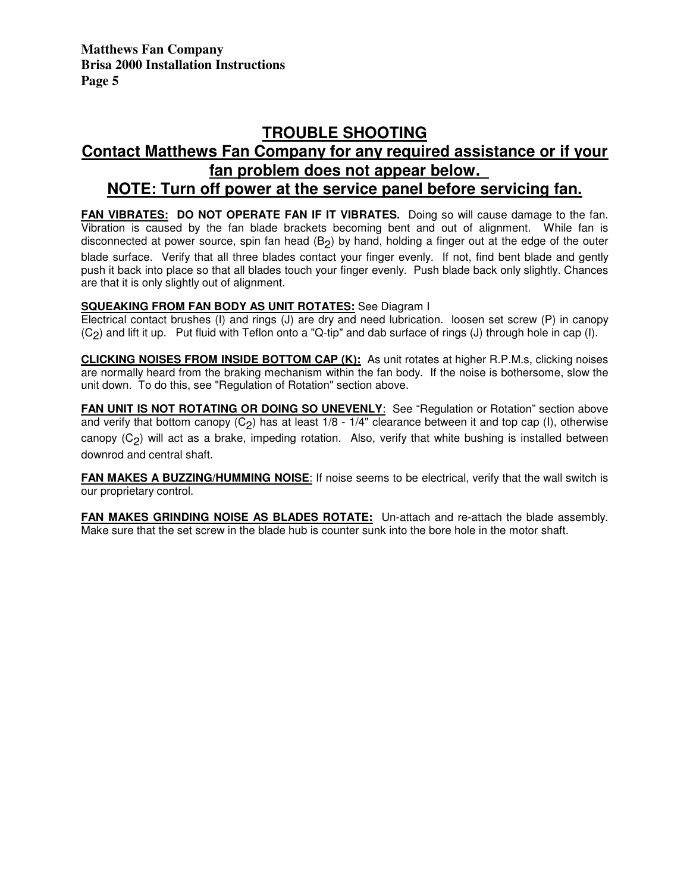# **TROUBLE SHOOTING**

## **Contact Matthews Fan Company for any required assistance or if your fan problem does not appear below. NOTE: Turn off power at the service panel before servicing fan.**

FAN VIBRATES: DO NOT OPERATE FAN IF IT VIBRATES. Doing so will cause damage to the fan.

Vibration is caused by the fan blade brackets becoming bent and out of alignment. While fan is disconnected at power source, spin fan head (B<sub>2</sub>) by hand, holding a finger out at the edge of the outer blade surface. Verify that all three blades contact your finger evenly. If not, find bent blade and gently push it back into place so that all blades touch your finger evenly. Push blade back only slightly. Chances are that it is only slightly out of alignment.

#### **SQUEAKING FROM FAN BODY AS UNIT ROTATES:** See Diagram I

Electrical contact brushes (I) and rings (J) are dry and need lubrication. loosen set screw (P) in canopy (C2 ) and lift it up. Put fluid with Teflon onto a "Q-tip" and dab surface of rings (J) through hole in cap (I).

**CLICKING NOISES FROM INSIDE BOTTOM CAP (K):** As unit rotates at higher R.P.M.s, clicking noises are normally heard from the braking mechanism within the fan body. If the noise is bothersome, slow the unit down. To do this, see "Regulation of Rotation" section above.

**FAN UNIT IS NOT ROTATING OR DOING SO UNEVENLY:** See "Regulation or Rotation" section above and verify that bottom canopy (C<sub>2</sub>) has at least 1/8 - 1/4" clearance between it and top cap (I), otherwise canopy (C<sub>2</sub>) will act as a brake, impeding rotation. Also, verify that white bushing is installed between downrod and central shaft.

**FAN MAKES A BUZZING/HUMMING NOISE:** If noise seems to be electrical, verify that the wall switch is our proprietary control.

**FAN MAKES GRINDING NOISE AS BLADES ROTATE:** Un-attach and re-attach the blade assembly. Make sure that the set screw in the blade hub is counter sunk into the bore hole in the motor shaft.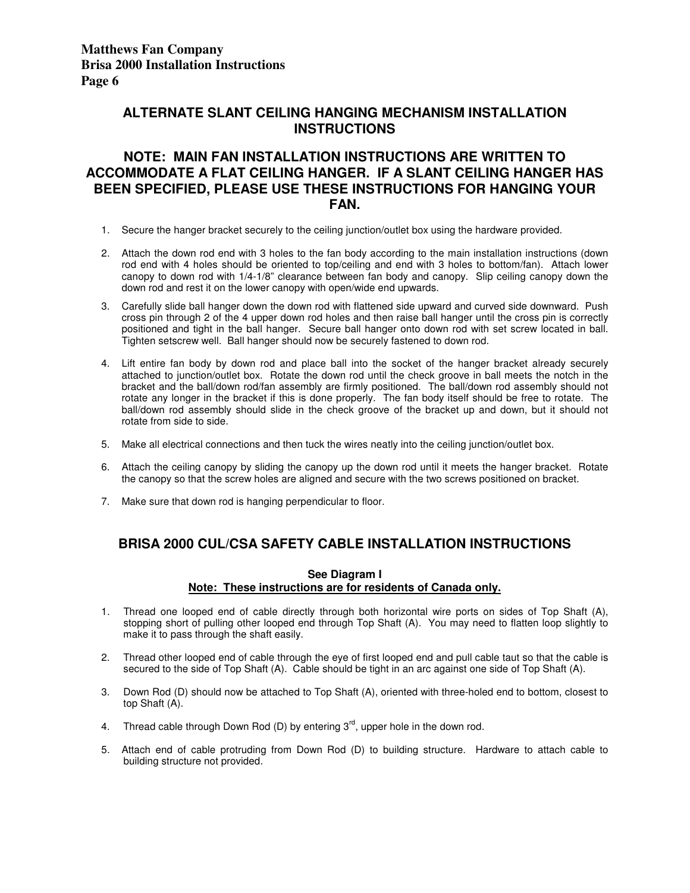## **ALTERNATE SLANT CEILING HANGING MECHANISM INSTALLATION INSTRUCTIONS**

### **NOTE: MAIN FAN INSTALLATION INSTRUCTIONS ARE WRITTEN TO ACCOMMODATE A FLAT CEILING HANGER. IF A SLANT CEILING HANGER HAS BEEN SPECIFIED, PLEASE USE THESE INSTRUCTIONS FOR HANGING YOUR FAN.**

- 1. Secure the hanger bracket securely to the ceiling junction/outlet box using the hardware provided.
- 2. Attach the down rod end with 3 holes to the fan body according to the main installation instructions (down rod end with 4 holes should be oriented to top/ceiling and end with 3 holes to bottom/fan). Attach lower canopy to down rod with 1/4-1/8" clearance between fan body and canopy. Slip ceiling canopy down the down rod and rest it on the lower canopy with open/wide end upwards.
- 3. Carefully slide ball hanger down the down rod with flattened side upward and curved side downward. Push cross pin through 2 of the 4 upper down rod holes and then raise ball hanger until the cross pin is correctly positioned and tight in the ball hanger. Secure ball hanger onto down rod with set screw located in ball. Tighten setscrew well. Ball hanger should now be securely fastened to down rod.
- 4. Lift entire fan body by down rod and place ball into the socket of the hanger bracket already securely attached to junction/outlet box. Rotate the down rod until the check groove in ball meets the notch in the bracket and the ball/down rod/fan assembly are firmly positioned. The ball/down rod assembly should not rotate any longer in the bracket if this is done properly. The fan body itself should be free to rotate. The ball/down rod assembly should slide in the check groove of the bracket up and down, but it should not rotate from side to side.
- 5. Make all electrical connections and then tuck the wires neatly into the ceiling junction/outlet box.
- 6. Attach the ceiling canopy by sliding the canopy up the down rod until it meets the hanger bracket. Rotate the canopy so that the screw holes are aligned and secure with the two screws positioned on bracket.
- 7. Make sure that down rod is hanging perpendicular to floor.

## **BRISA 2000 CUL/CSA SAFETY CABLE INSTALLATION INSTRUCTIONS**

#### **See Diagram I Note: These instructions are for residents of Canada only.**

- 1. Thread one looped end of cable directly through both horizontal wire ports on sides of Top Shaft (A), stopping short of pulling other looped end through Top Shaft (A). You may need to flatten loop slightly to make it to pass through the shaft easily.
- 2. Thread other looped end of cable through the eye of first looped end and pull cable taut so that the cable is secured to the side of Top Shaft (A). Cable should be tight in an arc against one side of Top Shaft (A).
- 3. Down Rod (D) should now be attached to Top Shaft (A), oriented with three-holed end to bottom, closest to top Shaft (A).
- 4. Thread cable through Down Rod (D) by entering  $3<sup>rd</sup>$ , upper hole in the down rod.
- 5. Attach end of cable protruding from Down Rod (D) to building structure. Hardware to attach cable to building structure not provided.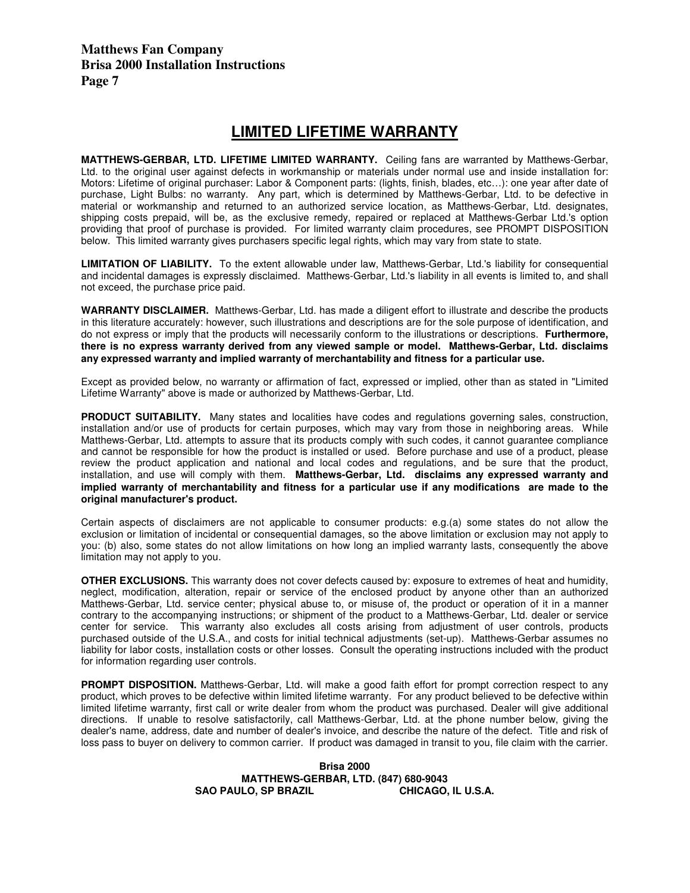## **LIMITED LIFETIME WARRANTY**

**MATTHEWS-GERBAR, LTD. LIFETIME LIMITED WARRANTY.** Ceiling fans are warranted by Matthews-Gerbar, Ltd. to the original user against defects in workmanship or materials under normal use and inside installation for: Motors: Lifetime of original purchaser: Labor & Component parts: (lights, finish, blades, etc…): one year after date of purchase, Light Bulbs: no warranty. Any part, which is determined by Matthews-Gerbar, Ltd. to be defective in material or workmanship and returned to an authorized service location, as Matthews-Gerbar, Ltd. designates, shipping costs prepaid, will be, as the exclusive remedy, repaired or replaced at Matthews-Gerbar Ltd.'s option providing that proof of purchase is provided. For limited warranty claim procedures, see PROMPT DISPOSITION below. This limited warranty gives purchasers specific legal rights, which may vary from state to state.

**LIMITATION OF LIABILITY.** To the extent allowable under law, Matthews-Gerbar, Ltd.'s liability for consequential and incidental damages is expressly disclaimed. Matthews-Gerbar, Ltd.'s liability in all events is limited to, and shall not exceed, the purchase price paid.

**WARRANTY DISCLAIMER.** Matthews-Gerbar, Ltd. has made a diligent effort to illustrate and describe the products in this literature accurately: however, such illustrations and descriptions are for the sole purpose of identification, and do not express or imply that the products will necessarily conform to the illustrations or descriptions. **Furthermore, there is no express warranty derived from any viewed sample or model. Matthews-Gerbar, Ltd. disclaims any expressed warranty and implied warranty of merchantability and fitness for a particular use.** 

Except as provided below, no warranty or affirmation of fact, expressed or implied, other than as stated in "Limited Lifetime Warranty" above is made or authorized by Matthews-Gerbar, Ltd.

**PRODUCT SUITABILITY.** Many states and localities have codes and regulations governing sales, construction, installation and/or use of products for certain purposes, which may vary from those in neighboring areas. While Matthews-Gerbar, Ltd. attempts to assure that its products comply with such codes, it cannot guarantee compliance and cannot be responsible for how the product is installed or used. Before purchase and use of a product, please review the product application and national and local codes and regulations, and be sure that the product, installation, and use will comply with them. **Matthews-Gerbar, Ltd. disclaims any expressed warranty and implied warranty of merchantability and fitness for a particular use if any modifications are made to the original manufacturer's product.** 

Certain aspects of disclaimers are not applicable to consumer products: e.g.(a) some states do not allow the exclusion or limitation of incidental or consequential damages, so the above limitation or exclusion may not apply to you: (b) also, some states do not allow limitations on how long an implied warranty lasts, consequently the above limitation may not apply to you.

**OTHER EXCLUSIONS.** This warranty does not cover defects caused by: exposure to extremes of heat and humidity, neglect, modification, alteration, repair or service of the enclosed product by anyone other than an authorized Matthews-Gerbar, Ltd. service center; physical abuse to, or misuse of, the product or operation of it in a manner contrary to the accompanying instructions; or shipment of the product to a Matthews-Gerbar, Ltd. dealer or service center for service. This warranty also excludes all costs arising from adjustment of user controls, products purchased outside of the U.S.A., and costs for initial technical adjustments (set-up). Matthews-Gerbar assumes no liability for labor costs, installation costs or other losses. Consult the operating instructions included with the product for information regarding user controls.

**PROMPT DISPOSITION.** Matthews-Gerbar, Ltd. will make a good faith effort for prompt correction respect to any product, which proves to be defective within limited lifetime warranty. For any product believed to be defective within limited lifetime warranty, first call or write dealer from whom the product was purchased. Dealer will give additional directions. If unable to resolve satisfactorily, call Matthews-Gerbar, Ltd. at the phone number below, giving the dealer's name, address, date and number of dealer's invoice, and describe the nature of the defect. Title and risk of loss pass to buyer on delivery to common carrier. If product was damaged in transit to you, file claim with the carrier.

#### **Brisa 2000 MATTHEWS-GERBAR, LTD. (847) 680-9043**  SAO PAULO, SP BRAZIL **CHICAGO, IL U.S.A.**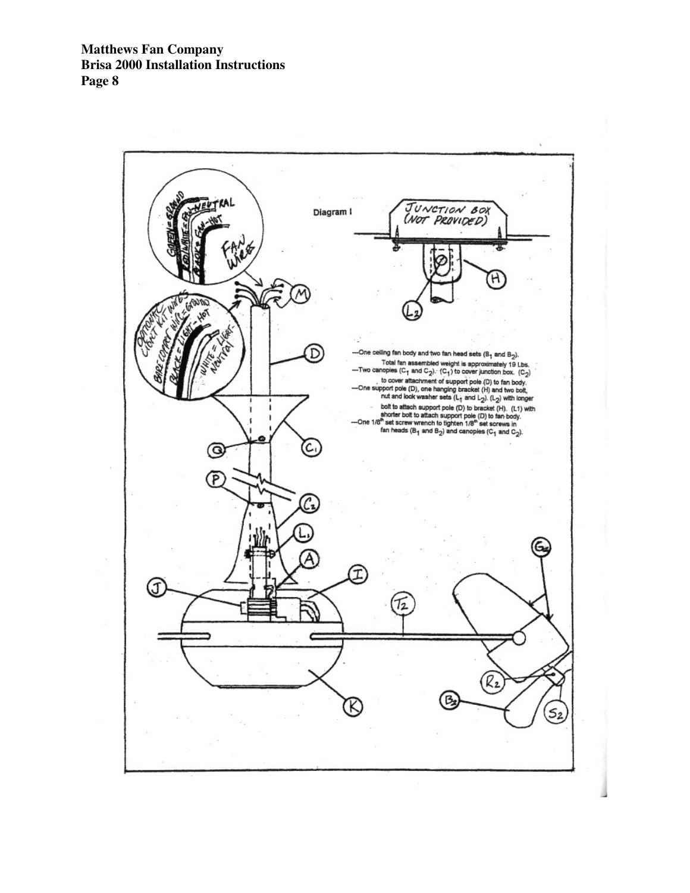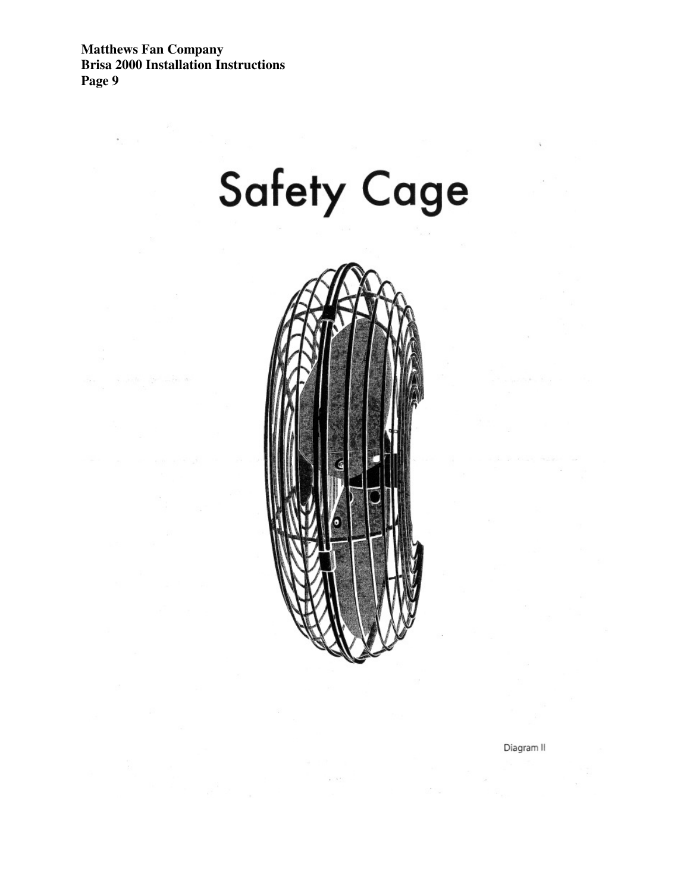



 $\mu \sim 0.1$ 

Diagram II